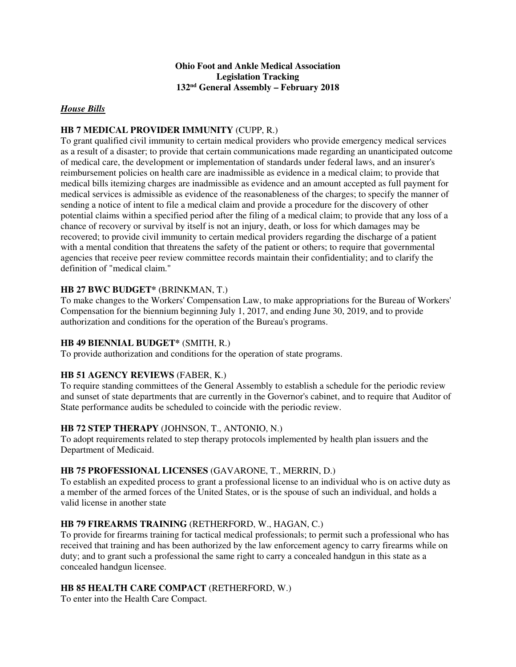### **Ohio Foot and Ankle Medical Association Legislation Tracking 132nd General Assembly – February 2018**

### *House Bills*

### **HB 7 MEDICAL PROVIDER IMMUNITY** (CUPP, R.)

To grant qualified civil immunity to certain medical providers who provide emergency medical services as a result of a disaster; to provide that certain communications made regarding an unanticipated outcome of medical care, the development or implementation of standards under federal laws, and an insurer's reimbursement policies on health care are inadmissible as evidence in a medical claim; to provide that medical bills itemizing charges are inadmissible as evidence and an amount accepted as full payment for medical services is admissible as evidence of the reasonableness of the charges; to specify the manner of sending a notice of intent to file a medical claim and provide a procedure for the discovery of other potential claims within a specified period after the filing of a medical claim; to provide that any loss of a chance of recovery or survival by itself is not an injury, death, or loss for which damages may be recovered; to provide civil immunity to certain medical providers regarding the discharge of a patient with a mental condition that threatens the safety of the patient or others; to require that governmental agencies that receive peer review committee records maintain their confidentiality; and to clarify the definition of "medical claim."

## **HB 27 BWC BUDGET\*** (BRINKMAN, T.)

To make changes to the Workers' Compensation Law, to make appropriations for the Bureau of Workers' Compensation for the biennium beginning July 1, 2017, and ending June 30, 2019, and to provide authorization and conditions for the operation of the Bureau's programs.

### **HB 49 BIENNIAL BUDGET\*** (SMITH, R.)

To provide authorization and conditions for the operation of state programs.

# **HB 51 AGENCY REVIEWS** (FABER, K.)

To require standing committees of the General Assembly to establish a schedule for the periodic review and sunset of state departments that are currently in the Governor's cabinet, and to require that Auditor of State performance audits be scheduled to coincide with the periodic review.

### **HB 72 STEP THERAPY** (JOHNSON, T., ANTONIO, N.)

To adopt requirements related to step therapy protocols implemented by health plan issuers and the Department of Medicaid.

### **HB 75 PROFESSIONAL LICENSES** (GAVARONE, T., MERRIN, D.)

To establish an expedited process to grant a professional license to an individual who is on active duty as a member of the armed forces of the United States, or is the spouse of such an individual, and holds a valid license in another state

### **HB 79 FIREARMS TRAINING** (RETHERFORD, W., HAGAN, C.)

To provide for firearms training for tactical medical professionals; to permit such a professional who has received that training and has been authorized by the law enforcement agency to carry firearms while on duty; and to grant such a professional the same right to carry a concealed handgun in this state as a concealed handgun licensee.

### **HB 85 HEALTH CARE COMPACT** (RETHERFORD, W.)

To enter into the Health Care Compact.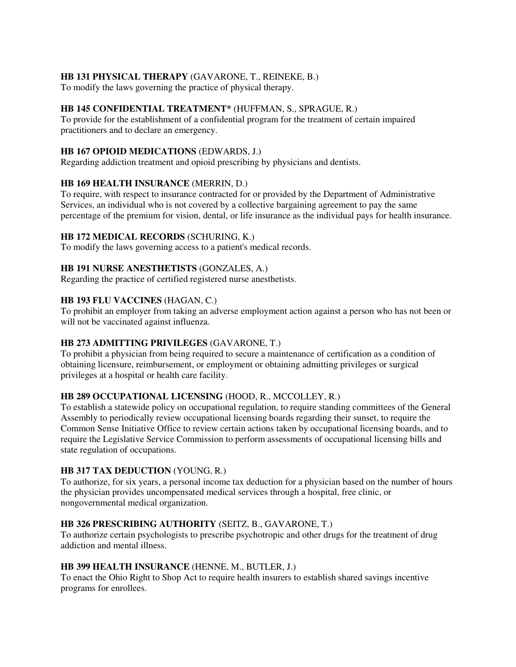## **HB 131 PHYSICAL THERAPY** (GAVARONE, T., REINEKE, B.)

To modify the laws governing the practice of physical therapy.

### **HB 145 CONFIDENTIAL TREATMENT\*** (HUFFMAN, S., SPRAGUE, R.)

To provide for the establishment of a confidential program for the treatment of certain impaired practitioners and to declare an emergency.

### **HB 167 OPIOID MEDICATIONS** (EDWARDS, J.)

Regarding addiction treatment and opioid prescribing by physicians and dentists.

### **HB 169 HEALTH INSURANCE** (MERRIN, D.)

To require, with respect to insurance contracted for or provided by the Department of Administrative Services, an individual who is not covered by a collective bargaining agreement to pay the same percentage of the premium for vision, dental, or life insurance as the individual pays for health insurance.

### **HB 172 MEDICAL RECORDS** (SCHURING, K.)

To modify the laws governing access to a patient's medical records.

### **HB 191 NURSE ANESTHETISTS** (GONZALES, A.)

Regarding the practice of certified registered nurse anesthetists.

### **HB 193 FLU VACCINES** (HAGAN, C.)

To prohibit an employer from taking an adverse employment action against a person who has not been or will not be vaccinated against influenza.

### **HB 273 ADMITTING PRIVILEGES** (GAVARONE, T.)

To prohibit a physician from being required to secure a maintenance of certification as a condition of obtaining licensure, reimbursement, or employment or obtaining admitting privileges or surgical privileges at a hospital or health care facility.

### **HB 289 OCCUPATIONAL LICENSING** (HOOD, R., MCCOLLEY, R.)

To establish a statewide policy on occupational regulation, to require standing committees of the General Assembly to periodically review occupational licensing boards regarding their sunset, to require the Common Sense Initiative Office to review certain actions taken by occupational licensing boards, and to require the Legislative Service Commission to perform assessments of occupational licensing bills and state regulation of occupations.

#### **HB 317 TAX DEDUCTION** (YOUNG, R.)

To authorize, for six years, a personal income tax deduction for a physician based on the number of hours the physician provides uncompensated medical services through a hospital, free clinic, or nongovernmental medical organization.

#### **HB 326 PRESCRIBING AUTHORITY** (SEITZ, B., GAVARONE, T.)

To authorize certain psychologists to prescribe psychotropic and other drugs for the treatment of drug addiction and mental illness.

#### **HB 399 HEALTH INSURANCE** (HENNE, M., BUTLER, J.)

To enact the Ohio Right to Shop Act to require health insurers to establish shared savings incentive programs for enrollees.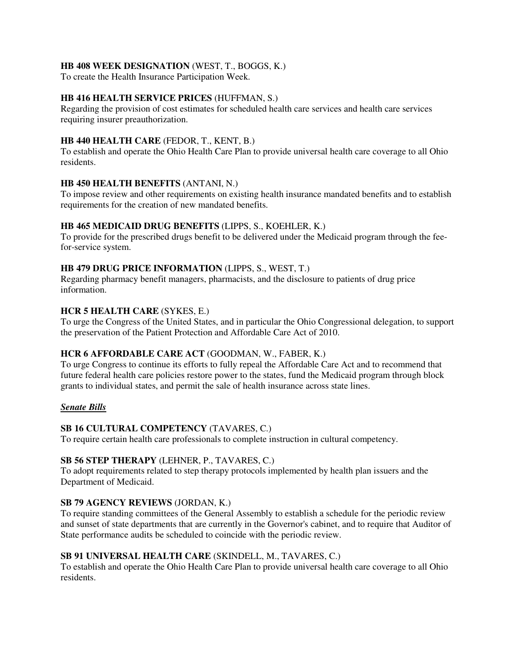### **HB 408 WEEK DESIGNATION** (WEST, T., BOGGS, K.)

To create the Health Insurance Participation Week.

### **HB 416 HEALTH SERVICE PRICES** (HUFFMAN, S.)

Regarding the provision of cost estimates for scheduled health care services and health care services requiring insurer preauthorization.

### **HB 440 HEALTH CARE** (FEDOR, T., KENT, B.)

To establish and operate the Ohio Health Care Plan to provide universal health care coverage to all Ohio residents.

### **HB 450 HEALTH BENEFITS** (ANTANI, N.)

To impose review and other requirements on existing health insurance mandated benefits and to establish requirements for the creation of new mandated benefits.

### **HB 465 MEDICAID DRUG BENEFITS** (LIPPS, S., KOEHLER, K.)

To provide for the prescribed drugs benefit to be delivered under the Medicaid program through the feefor-service system.

### **HB 479 DRUG PRICE INFORMATION** (LIPPS, S., WEST, T.)

Regarding pharmacy benefit managers, pharmacists, and the disclosure to patients of drug price information.

### **HCR 5 HEALTH CARE** (SYKES, E.)

To urge the Congress of the United States, and in particular the Ohio Congressional delegation, to support the preservation of the Patient Protection and Affordable Care Act of 2010.

### **HCR 6 AFFORDABLE CARE ACT** (GOODMAN, W., FABER, K.)

To urge Congress to continue its efforts to fully repeal the Affordable Care Act and to recommend that future federal health care policies restore power to the states, fund the Medicaid program through block grants to individual states, and permit the sale of health insurance across state lines.

#### *Senate Bills*

### **SB 16 CULTURAL COMPETENCY** (TAVARES, C.)

To require certain health care professionals to complete instruction in cultural competency.

#### **SB 56 STEP THERAPY** (LEHNER, P., TAVARES, C.)

To adopt requirements related to step therapy protocols implemented by health plan issuers and the Department of Medicaid.

### **SB 79 AGENCY REVIEWS** (JORDAN, K.)

To require standing committees of the General Assembly to establish a schedule for the periodic review and sunset of state departments that are currently in the Governor's cabinet, and to require that Auditor of State performance audits be scheduled to coincide with the periodic review.

### **SB 91 UNIVERSAL HEALTH CARE** (SKINDELL, M., TAVARES, C.)

To establish and operate the Ohio Health Care Plan to provide universal health care coverage to all Ohio residents.